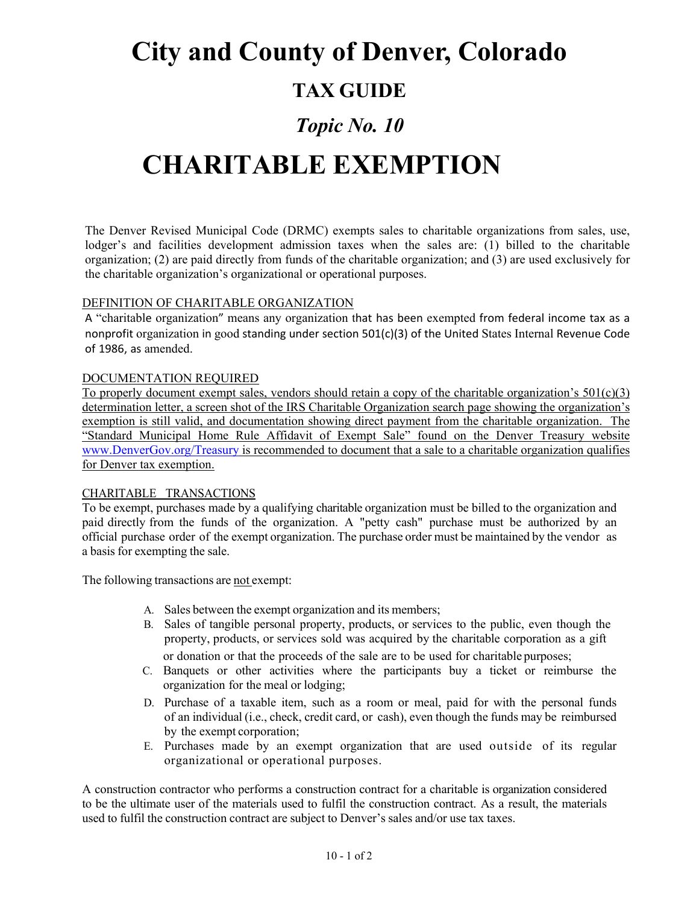## **City and County of Denver, Colorado**

### **TAX GUIDE**

### *Topic No. 10*

# **CHARITABLE EXEMPTION**

The Denver Revised Municipal Code (DRMC) exempts sales to charitable organizations from sales, use, lodger's and facilities development admission taxes when the sales are: (1) billed to the charitable organization; (2) are paid directly from funds of the charitable organization; and (3) are used exclusively for the charitable organization's organizational or operational purposes.

### DEFINITION OF CHARITABLE ORGANIZATION

A "charitable organization" means any organization that has been exempted from federal income tax as a nonprofit organization in good standing under section 501(c)(3) of the United States Internal Revenue Code of 1986, as amended.

#### DOCUMENTATION REQUIRED

To properly document exempt sales, vendors should retain a copy of the charitable organization's  $501(c)(3)$ determination letter, a screen shot of the IRS Charitable Organization search page showing the organization's exemption is still valid, and documentation showing direct payment from the charitable organization. The "Standard Municipal Home Rule Affidavit of Exempt Sale" found on the Denver Treasury website [www.DenverGov.org/Treasury](http://www.denvergov.org/Treasury) is recommended to document that a sale to a charitable organization qualifies for Denver tax exemption.

#### CHARITABLE TRANSACTIONS

To be exempt, purchases made by a qualifying charitable organization must be billed to the organization and paid directly from the funds of the organization. A "petty cash" purchase must be authorized by an official purchase order of the exempt organization. The purchase order must be maintained by the vendor as a basis for exempting the sale.

The following transactions are not exempt:

- A. Sales between the exempt organization and its members;
- B. Sales of tangible personal property, products, or services to the public, even though the property, products, or services sold was acquired by the charitable corporation as a gift or donation or that the proceeds of the sale are to be used for charitable purposes;
- C. Banquets or other activities where the participants buy a ticket or reimburse the organization for the meal or lodging;
- D. Purchase of a taxable item, such as a room or meal, paid for with the personal funds of an individual (i.e., check, credit card, or cash), even though the funds may be reimbursed by the exempt corporation;
- E. Purchases made by an exempt organization that are used outside of its regular organizational or operational purposes.

A construction contractor who performs a construction contract for a charitable is organization considered to be the ultimate user of the materials used to fulfil the construction contract. As a result, the materials used to fulfil the construction contract are subject to Denver's sales and/or use tax taxes.